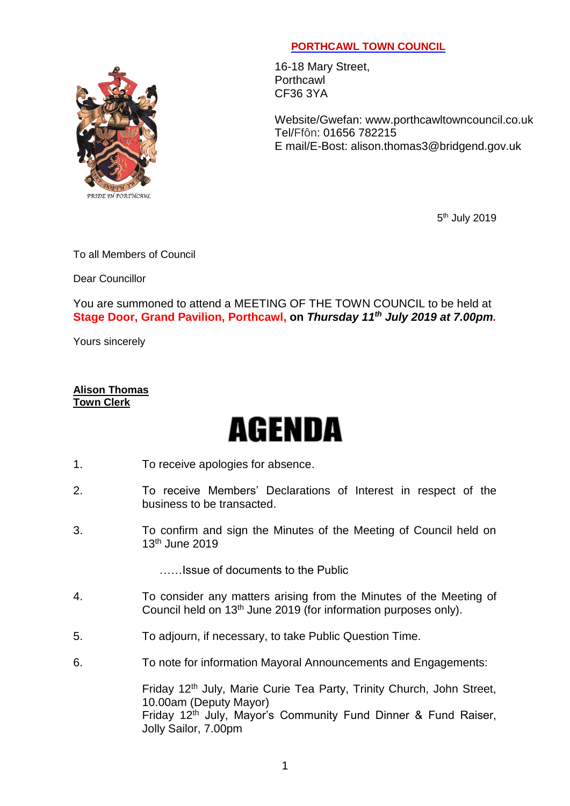## PRIDE IN PORTHCAWL

## **PORTHCAWL TOWN COUNCIL**

16-18 Mary Street, Porthcawl CF36 3YA

Website/Gwefan: [www.porthcawltowncouncil.co.uk](http://www.porthcawltowncouncil.co.uk/) Tel/Ffôn: 01656 782215 E mail/E-Bost: alison.thomas3@bridgend.gov.uk

5<sup>th</sup> July 2019

To all Members of Council

Dear Councillor

You are summoned to attend a MEETING OF THE TOWN COUNCIL to be held at **Stage Door, Grand Pavilion, Porthcawl, on** *Thursday 11 th July 2019 at 7.00pm.*

Yours sincerely

## **Alison Thomas Town Clerk**

## AGENDA

- 1. To receive apologies for absence.
- 2. To receive Members' Declarations of Interest in respect of the business to be transacted.
- 3. To confirm and sign the Minutes of the Meeting of Council held on 13th June 2019

……Issue of documents to the Public

- 4. To consider any matters arising from the Minutes of the Meeting of Council held on 13th June 2019 (for information purposes only).
- 5. To adjourn, if necessary, to take Public Question Time.
- 6. To note for information Mayoral Announcements and Engagements:

Friday 12<sup>th</sup> July, Marie Curie Tea Party, Trinity Church, John Street, 10.00am (Deputy Mayor) Friday 12<sup>th</sup> July, Mayor's Community Fund Dinner & Fund Raiser, Jolly Sailor, 7.00pm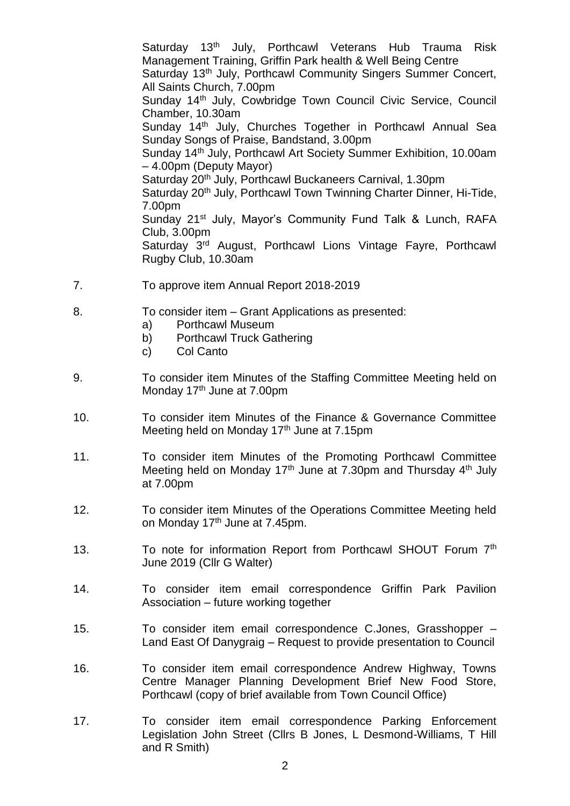Saturday 13<sup>th</sup> July, Porthcawl Veterans Hub Trauma Risk Management Training, Griffin Park health & Well Being Centre Saturday 13<sup>th</sup> July, Porthcawl Community Singers Summer Concert, All Saints Church, 7.00pm Sunday 14<sup>th</sup> July, Cowbridge Town Council Civic Service, Council Chamber, 10.30am Sunday 14<sup>th</sup> July, Churches Together in Porthcawl Annual Sea Sunday Songs of Praise, Bandstand, 3.00pm Sunday 14th July, Porthcawl Art Society Summer Exhibition, 10.00am – 4.00pm (Deputy Mayor) Saturday 20<sup>th</sup> July, Porthcawl Buckaneers Carnival, 1.30pm Saturday 20<sup>th</sup> July, Porthcawl Town Twinning Charter Dinner, Hi-Tide, 7.00pm Sunday 21<sup>st</sup> July, Mayor's Community Fund Talk & Lunch, RAFA Club, 3.00pm Saturday 3<sup>rd</sup> August, Porthcawl Lions Vintage Fayre, Porthcawl Rugby Club, 10.30am

- 7. To approve item Annual Report 2018-2019
- 8. To consider item Grant Applications as presented:
	- a) Porthcawl Museum
	- b) Porthcawl Truck Gathering
	- c) Col Canto
- 9. To consider item Minutes of the Staffing Committee Meeting held on Monday 17<sup>th</sup> June at 7.00pm
- 10. To consider item Minutes of the Finance & Governance Committee Meeting held on Monday 17<sup>th</sup> June at 7.15pm
- 11. To consider item Minutes of the Promoting Porthcawl Committee Meeting held on Monday 17<sup>th</sup> June at 7.30pm and Thursday 4<sup>th</sup> July at 7.00pm
- 12. To consider item Minutes of the Operations Committee Meeting held on Monday 17<sup>th</sup> June at 7.45pm.
- 13. To note for information Report from Porthcawl SHOUT Forum 7<sup>th</sup> June 2019 (Cllr G Walter)
- 14. To consider item email correspondence Griffin Park Pavilion Association – future working together
- 15. To consider item email correspondence C.Jones, Grasshopper Land East Of Danygraig – Request to provide presentation to Council
- 16. To consider item email correspondence Andrew Highway, Towns Centre Manager Planning Development Brief New Food Store, Porthcawl (copy of brief available from Town Council Office)
- 17. To consider item email correspondence Parking Enforcement Legislation John Street (Cllrs B Jones, L Desmond-Williams, T Hill and R Smith)